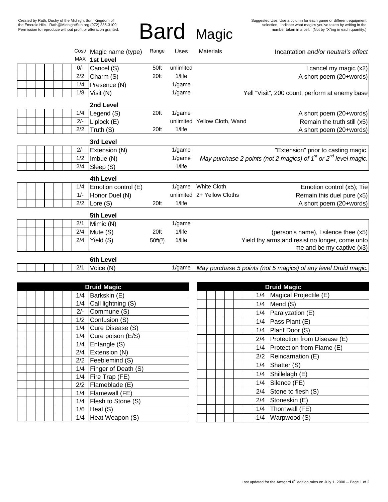# Bard Magic

|  |  |  |                  |           | MAX       | Cost/ Magic name (type)<br>1st Level | Range   | Uses      | <b>Materials</b>             | Incantation and/or neutral's effect                                 |
|--|--|--|------------------|-----------|-----------|--------------------------------------|---------|-----------|------------------------------|---------------------------------------------------------------------|
|  |  |  |                  |           | $0/-$     | Cancel (S)                           | 50ft    | unlimited |                              | I cancel my magic (x2)                                              |
|  |  |  |                  |           | 2/2       | Charm (S)                            | 20ft    | $1$ /life |                              | A short poem (20+words)                                             |
|  |  |  |                  |           | 1/4       |                                      |         | $1$ /game |                              |                                                                     |
|  |  |  |                  |           | 1/8       | Presence (N)                         |         | $1$ /game |                              |                                                                     |
|  |  |  |                  |           |           | Visit (N)                            |         |           |                              | Yell "Visit", 200 count, perform at enemy base                      |
|  |  |  |                  |           | 2nd Level |                                      |         |           |                              |                                                                     |
|  |  |  |                  |           | 1/4       | Legend (S)                           | 20ft    | 1/game    |                              | A short poem (20+words)                                             |
|  |  |  |                  |           | $2/-$     | Liplock (E)                          |         |           | unlimited Yellow Cloth, Wand | Remain the truth still (x5)                                         |
|  |  |  |                  |           | 2/2       | Truth (S)                            | 20ft    | $1$ /life |                              | A short poem (20+words)                                             |
|  |  |  | 3rd Level        |           |           |                                      |         |           |                              |                                                                     |
|  |  |  |                  |           | $2/-$     | Extension (N)                        |         | 1/game    |                              | "Extension" prior to casting magic.                                 |
|  |  |  |                  |           | 1/2       | Imbue (N)                            |         | $1$ /game |                              | May purchase 2 points (not 2 magics) of $1st$ or $2nd$ level magic. |
|  |  |  |                  |           | 2/4       | Sleep (S)                            |         | $1$ /life |                              |                                                                     |
|  |  |  | <b>4th Level</b> |           |           |                                      |         |           |                              |                                                                     |
|  |  |  |                  |           | 1/4       | Emotion control (E)                  |         | $1$ /game | <b>White Cloth</b>           | Emotion control (x5); Tie                                           |
|  |  |  |                  |           | $1/-$     | Honor Duel (N)                       |         |           | unlimited 2+ Yellow Cloths   | Remain this duel pure (x5)                                          |
|  |  |  |                  |           | 2/2       | Lore (S)                             | 20ft    | $1$ /life |                              | A short poem (20+words)                                             |
|  |  |  |                  | 5th Level |           |                                      |         |           |                              |                                                                     |
|  |  |  |                  |           | 2/1       | Mimic (N)                            |         | 1/game    |                              |                                                                     |
|  |  |  |                  |           | 2/4       | Mute (S)                             | 20ft    | $1$ /life |                              | (person's name), I silence thee (x5)                                |
|  |  |  |                  |           | 2/4       | Yield (S)                            | 50ft(?) | 1/life    |                              | Yield thy arms and resist no longer, come unto                      |
|  |  |  |                  |           |           |                                      |         |           |                              | me and be my captive $(x3)$                                         |
|  |  |  |                  |           |           | 6th Level                            |         |           |                              |                                                                     |
|  |  |  |                  |           | 2/1       | Voice (N)                            |         | 1/game    |                              | May purchase 5 points (not 5 magics) of any level Druid magic.      |
|  |  |  |                  |           |           |                                      |         |           |                              |                                                                     |

| <b>Druid Magic</b> |  |       |                     |  |  |  |
|--------------------|--|-------|---------------------|--|--|--|
|                    |  | 1/4   | Barkskin (E)        |  |  |  |
|                    |  | 1/4   | Call lightning (S)  |  |  |  |
|                    |  | $2/-$ | Commune (S)         |  |  |  |
|                    |  | 1/2   | Confusion (S)       |  |  |  |
|                    |  | 1/4   | Cure Disease (S)    |  |  |  |
|                    |  | 1/4   | Cure poison (E/S)   |  |  |  |
|                    |  | 1/4   | Entangle (S)        |  |  |  |
|                    |  | 2/4   | Extension (N)       |  |  |  |
|                    |  | 2/2   | Feeblemind (S)      |  |  |  |
|                    |  | 1/4   | Finger of Death (S) |  |  |  |
|                    |  | 1/4   | Fire Trap (FE)      |  |  |  |
|                    |  | 2/2   | Flameblade (E)      |  |  |  |
|                    |  | 1/4   | Flamewall (FE)      |  |  |  |
|                    |  | 1/4   | Flesh to Stone (S)  |  |  |  |
|                    |  | 1/6   | Heal (S)            |  |  |  |
|                    |  | 1/4   | Heat Weapon (S)     |  |  |  |

| <b>Druid Magic</b> |                             |  |  |  |  |
|--------------------|-----------------------------|--|--|--|--|
| 1/4                | Magical Projectile (E)      |  |  |  |  |
| 1/4                | Mend (S)                    |  |  |  |  |
| 1/4                | Paralyzation (E)            |  |  |  |  |
| 1/4                | Pass Plant (E)              |  |  |  |  |
| 1/4                | Plant Door (S)              |  |  |  |  |
| 2/4                | Protection from Disease (E) |  |  |  |  |
| 1/4                | Protection from Flame (E)   |  |  |  |  |
| 2/2                | Reincarnation (E)           |  |  |  |  |
| 1/4                | Shatter (S)                 |  |  |  |  |
| 1/4                | Shillelagh (E)              |  |  |  |  |
| 1/4                | Silence (FE)                |  |  |  |  |
| 2/4                | Stone to flesh (S)          |  |  |  |  |
| 2/4                | Stoneskin (E)               |  |  |  |  |
| 1/4                | Thornwall (FE)              |  |  |  |  |
| 1/4                | Warpwood (S)                |  |  |  |  |